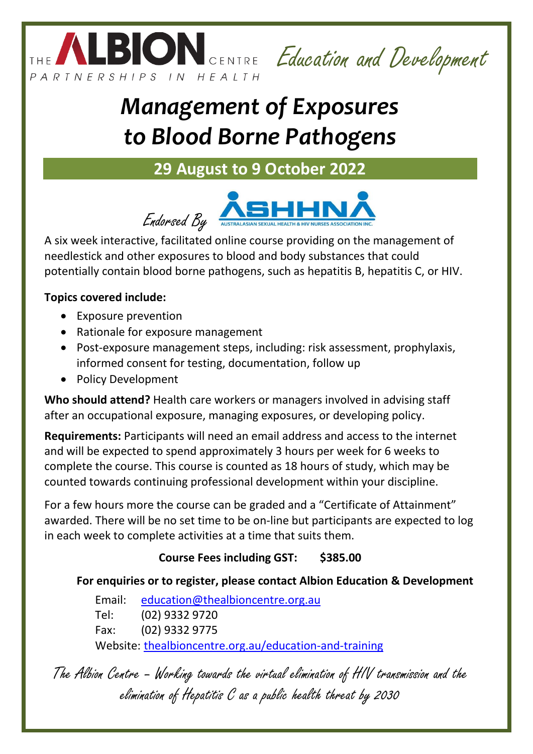

Education and Development

# *Management of Exposures to Blood Borne Pathogens*

# **29 August to 9 October 2022**



A six week interactive, facilitated online course providing on the management of needlestick and other exposures to blood and body substances that could potentially contain blood borne pathogens, such as hepatitis B, hepatitis C, or HIV.

### **Topics covered include:**

- Exposure prevention
- Rationale for exposure management
- Post-exposure management steps, including: risk assessment, prophylaxis, informed consent for testing, documentation, follow up
- Policy Development

**Who should attend?** Health care workers or managers involved in advising staff after an occupational exposure, managing exposures, or developing policy.

**Requirements:** Participants will need an email address and access to the internet and will be expected to spend approximately 3 hours per week for 6 weeks to complete the course. This course is counted as 18 hours of study, which may be counted towards continuing professional development within your discipline.

For a few hours more the course can be graded and a "Certificate of Attainment" awarded. There will be no set time to be on-line but participants are expected to log in each week to complete activities at a time that suits them.

# **Course Fees including GST: \$385.00**

## **For enquiries or to register, please contact Albion Education & Development**

Email: [education@thealbioncentre.org.au](mailto:education@thealbioncentre.org.au) Tel: (02) 9332 9720 Fax: (02) 9332 9775 Website: [thealbioncentre.org.au/education-and-training](http://thealbioncentre.org.au/education-training/education-training/)

The Albion Centre – Working towards the virtual elimination of HIV transmission and the elimination of Hepatitis C as a public health threat by 2030